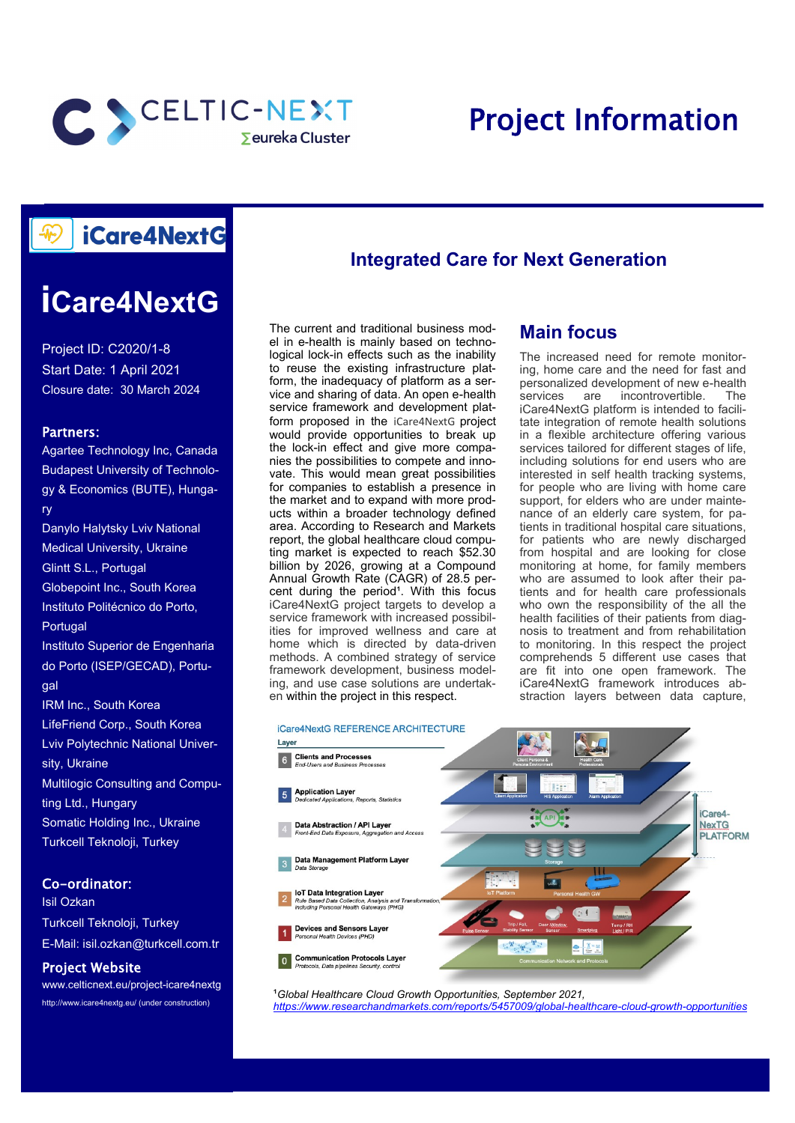

## Project Information

## iCare4NextG

# **iCare4NextG**

Project ID: C2020/1-8 Start Date: 1 April 2021 Closure date: 30 March 2024

#### Partners:

Agartee Technology Inc, Canada Budapest University of Technology & Economics (BUTE), Hungary Danylo Halytsky Lviv National Medical University, Ukraine Glintt S.L., Portugal Globepoint Inc., South Korea Instituto Politécnico do Porto, Portugal Instituto Superior de Engenharia do Porto (ISEP/GECAD), Portudal IRM Inc., South Korea LifeFriend Corp., South Korea Lviv Polytechnic National University, Ukraine Multilogic Consulting and Computing Ltd., Hungary Somatic Holding Inc., Ukraine Turkcell Teknoloji, Turkey

#### Co-ordinator:

Isil Ozkan Turkcell Teknoloji, Turkey E-Mail: isil.ozkan@turkcell.com.tr

#### Project Website

www.celticnext.eu/project-icare4nextg http://www.icare4nextg.eu/ (under construction)

### **Integrated Care for Next Generation**

The current and traditional business model in e-health is mainly based on technological lock-in effects such as the inability to reuse the existing infrastructure platform, the inadequacy of platform as a service and sharing of data. An open e-health service framework and development platform proposed in the iCare4NextG project would provide opportunities to break up the lock-in effect and give more companies the possibilities to compete and innovate. This would mean great possibilities for companies to establish a presence in the market and to expand with more products within a broader technology defined area. According to Research and Markets report, the global healthcare cloud computing market is expected to reach \$52.30 billion by 2026, growing at a Compound Annual Growth Rate (CAGR) of 28.5 percent during the period<sup>1</sup>. With this focus iCare4NextG project targets to develop a service framework with increased possibilities for improved wellness and care at home which is directed by data-driven methods. A combined strategy of service framework development, business modeling, and use case solutions are undertaken within the project in this respect.

#### **Main focus**

The increased need for remote monitoring, home care and the need for fast and personalized development of new e-health services are incontrovertible. The iCare4NextG platform is intended to facilitate integration of remote health solutions in a flexible architecture offering various services tailored for different stages of life, including solutions for end users who are interested in self health tracking systems, for people who are living with home care support, for elders who are under maintenance of an elderly care system, for patients in traditional hospital care situations, for patients who are newly discharged from hospital and are looking for close monitoring at home, for family members who are assumed to look after their patients and for health care professionals who own the responsibility of the all the health facilities of their patients from diagnosis to treatment and from rehabilitation to monitoring. In this respect the project comprehends 5 different use cases that are fit into one open framework. The iCare4NextG framework introduces abstraction layers between data capture,



<sup>1</sup> Global Healthcare Cloud Growth Opportunities, September 2021, *[https://www.researchandmarkets.com/reports/5457009/global](https://www.researchandmarkets.com/reports/5457009/global-healthcare-cloud-growth-opportunities)-healthcare-cloud-growth-opportunities*